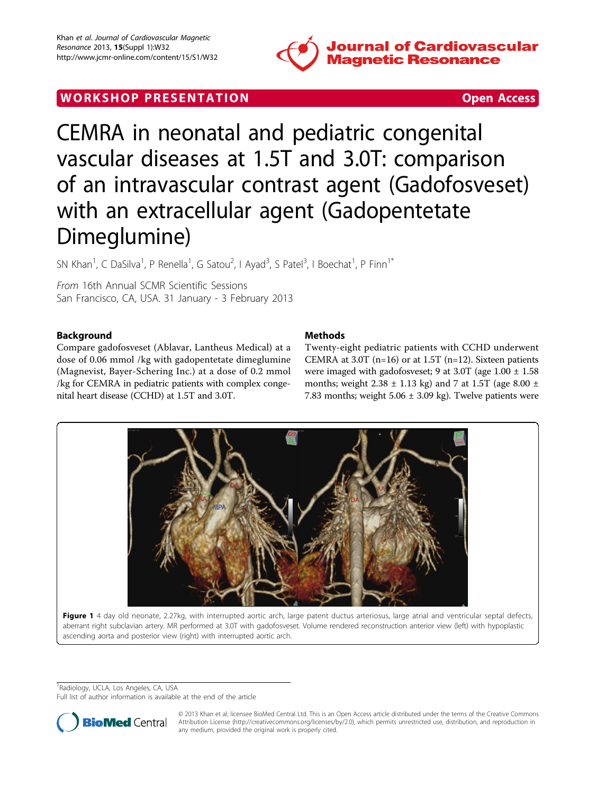

# **WORK SHOP PRESENTATION CONSUMING THE SECOND CONSUMING THE SECOND COPEN ACCESS**

CEMRA in neonatal and pediatric congenital vascular diseases at 1.5T and 3.0T: comparison of an intravascular contrast agent (Gadofosveset) with an extracellular agent (Gadopentetate Dimeglumine)

SN Khan<sup>1</sup>, C DaSilva<sup>1</sup>, P Renella<sup>1</sup>, G Satou<sup>2</sup>, I Ayad<sup>3</sup>, S Patel<sup>3</sup>, I Boechat<sup>1</sup>, P Finn<sup>1\*</sup>

From 16th Annual SCMR Scientific Sessions San Francisco, CA, USA. 31 January - 3 February 2013

# Background

Compare gadofosveset (Ablavar, Lantheus Medical) at a dose of 0.06 mmol /kg with gadopentetate dimeglumine (Magnevist, Bayer-Schering Inc.) at a dose of 0.2 mmol /kg for CEMRA in pediatric patients with complex congenital heart disease (CCHD) at 1.5T and 3.0T.

# Methods

Twenty-eight pediatric patients with CCHD underwent CEMRA at 3.0T ( $n=16$ ) or at 1.5T ( $n=12$ ). Sixteen patients were imaged with gadofosveset; 9 at 3.0T (age 1.00 ± 1.58 months; weight  $2.38 \pm 1.13$  kg) and 7 at 1.5T (age  $8.00 \pm$ 7.83 months; weight  $5.06 \pm 3.09$  kg). Twelve patients were



ascending aorta and posterior view (right) with interrupted aortic arch.

<sup>1</sup>Radiology, UCLA, Los Angeles, CA, USA

Full list of author information is available at the end of the article



© 2013 Khan et al; licensee BioMed Central Ltd. This is an Open Access article distributed under the terms of the Creative Commons Attribution License [\(http://creativecommons.org/licenses/by/2.0](http://creativecommons.org/licenses/by/2.0)), which permits unrestricted use, distribution, and reproduction in any medium, provided the original work is properly cited.